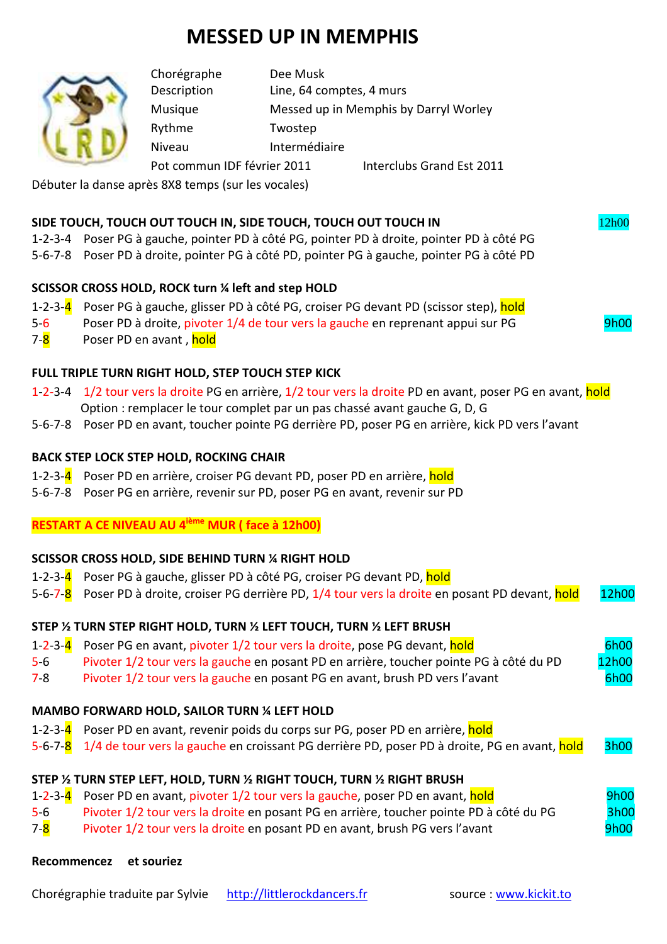# **MESSED UP IN MEMPHIS**

| Chorégraphe                 | Dee Musk                              |                           |
|-----------------------------|---------------------------------------|---------------------------|
| Description                 | Line, 64 comptes, 4 murs              |                           |
| Musique                     | Messed up in Memphis by Darryl Worley |                           |
| Rythme                      | Twostep                               |                           |
| Niveau                      | Intermédiaire                         |                           |
| Pot commun IDF février 2011 |                                       | Interclubs Grand Est 2011 |

Débuter la danse après 8X8 temps (sur les vocales)

## **SIDE TOUCH, TOUCH OUT TOUCH IN, SIDE TOUCH, TOUCH OUT TOUCH IN** 12h00

- 1-2-3-4 Poser PG à gauche, pointer PD à côté PG, pointer PD à droite, pointer PD à côté PG
- 5-6-7-8 Poser PD à droite, pointer PG à côté PD, pointer PG à gauche, pointer PG à côté PD

# **SCISSOR CROSS HOLD, ROCK turn ¼ left and step HOLD**

- 1-2-3-4 Poser PG à gauche, glisser PD à côté PG, croiser PG devant PD (scissor step), hold
- 5-6 Poser PD à droite, pivoter 1/4 de tour vers la gauche en reprenant appui sur PG 9h00

7-8 Poser PD en avant, hold

## **FULL TRIPLE TURN RIGHT HOLD, STEP TOUCH STEP KICK**

- 1-2-3-4 1/2 tour vers la droite PG en arrière, 1/2 tour vers la droite PD en avant, poser PG en avant, hold Option : remplacer le tour complet par un pas chassé avant gauche G, D, G
- 5-6-7-8 Poser PD en avant, toucher pointe PG derrière PD, poser PG en arrière, kick PD vers l'avant

### **BACK STEP LOCK STEP HOLD, ROCKING CHAIR**

- 1-2-3-4 Poser PD en arrière, croiser PG devant PD, poser PD en arrière, hold
- 5-6-7-8 Poser PG en arrière, revenir sur PD, poser PG en avant, revenir sur PD

# **RESTART A CE NIVEAU AU 4ième MUR ( face à 12h00)**

#### **SCISSOR CROSS HOLD, SIDE BEHIND TURN ¼ RIGHT HOLD**

- 1-2-3-4 Poser PG à gauche, glisser PD à côté PG, croiser PG devant PD, hold
- 5-6-7-8 Poser PD à droite, croiser PG derrière PD, 1/4 tour vers la droite en posant PD devant, hold 12h00

#### **STEP ½ TURN STEP RIGHT HOLD, TURN ½ LEFT TOUCH, TURN ½ LEFT BRUSH**

- 1-2-3-4 Poser PG en avant, pivoter 1/2 tour vers la droite, pose PG devant, hold 6h00
- 5-6 Pivoter 1/2 tour vers la gauche en posant PD en arrière, toucher pointe PG à côté du PD 12h00
- 7-8 Pivoter 1/2 tour vers la gauche en posant PG en avant, brush PD vers l'avant 6h00

## **MAMBO FORWARD HOLD, SAILOR TURN ¼ LEFT HOLD**

- 1-2-3-4 Poser PD en avant, revenir poids du corps sur PG, poser PD en arrière, hold
- 5-6-7-8 1/4 de tour vers la gauche en croissant PG derrière PD, poser PD à droite, PG en avant, hold 3h00

# **STEP ½ TURN STEP LEFT, HOLD, TURN ½ RIGHT TOUCH, TURN ½ RIGHT BRUSH**

- 1-2-3-4 Poser PD en avant, pivoter 1/2 tour vers la gauche, poser PD en avant, hold 9h00
- 5-6 Pivoter 1/2 tour vers la droite en posant PG en arrière, toucher pointe PD à côté du PG 3h00
- 7-8 Pivoter 1/2 tour vers la droite en posant PD en avant, brush PG vers l'avant Prosessen and 19h00

## **Recommencez et souriez**

Chorégraphie traduite par Sylvie http://littlerockdancers.fr source : www.kickit.to